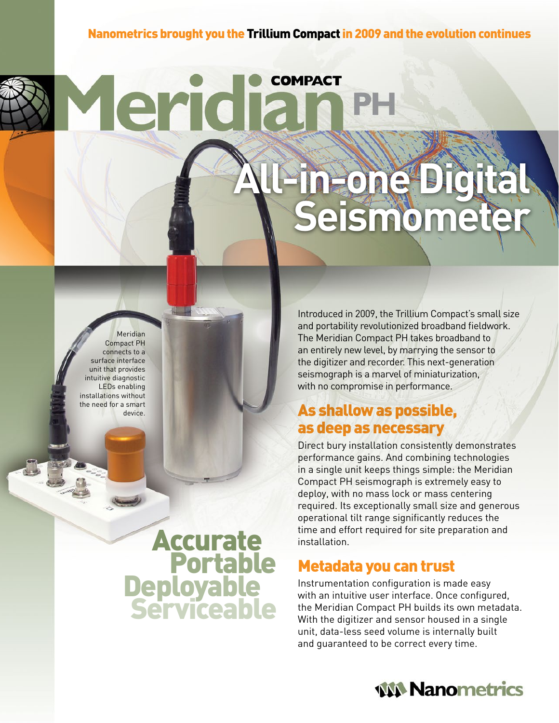## Nanometrics brought you the Trillium Compact in 2009 and the evolution continues

**COMPACT** 

Meridian Compact PH connects to a surface interface unit that provides intuitive diagnostic LEDs enabling installations without the need for a smart device.

**Accurate<br>
Portable<br>
Deployable<br>
Serviceable** 

Yeridia

Introduced in 2009, the Trillium Compact's small size and portability revolutionized broadband fieldwork. The Meridian Compact PH takes broadband to an entirely new level, by marrying the sensor to the digitizer and recorder. This next-generation seismograph is a marvel of miniaturization, with no compromise in performance.

**All-in-one Digital Seismometer**

# As shallow as possible, as deep as necessary

Direct bury installation consistently demonstrates performance gains. And combining technologies in a single unit keeps things simple: the Meridian Compact PH seismograph is extremely easy to deploy, with no mass lock or mass centering required. Its exceptionally small size and generous operational tilt range significantly reduces the time and effort required for site preparation and installation.

# Metadata you can trust

Instrumentation configuration is made easy with an intuitive user interface. Once configured, the Meridian Compact PH builds its own metadata. With the digitizer and sensor housed in a single unit, data-less seed volume is internally built and guaranteed to be correct every time.